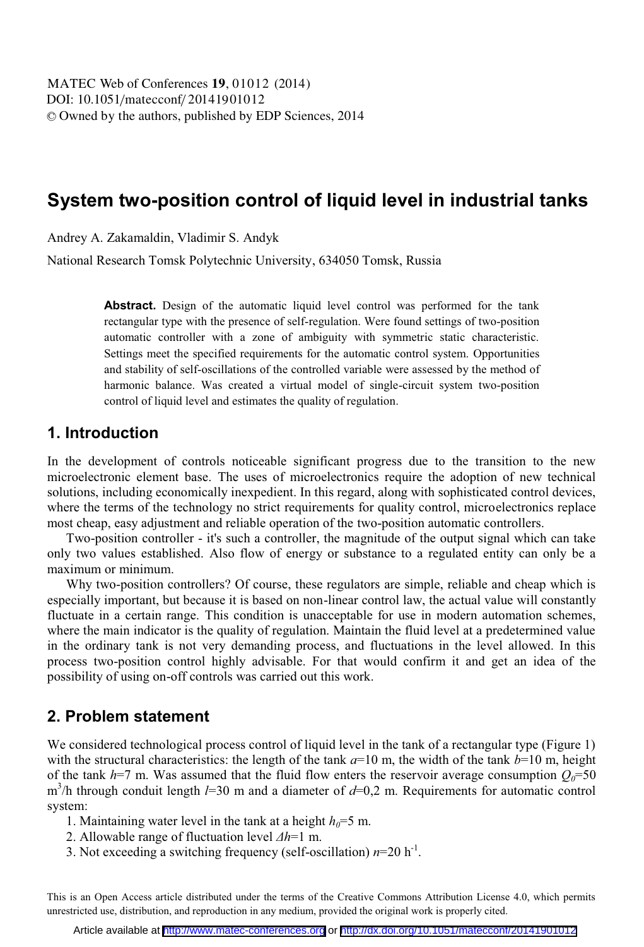# **System two-position control of liquid level in industrial tanks**

Andrey A. Zakamaldin, Vladimir S. Andyk

National Research Tomsk Polytechnic University, 634050 Tomsk, Russia

**Abstract.** Design of the automatic liquid level control was performed for the tank rectangular type with the presence of self-regulation. Were found settings of two-position automatic controller with a zone of ambiguity with symmetric static characteristic. Settings meet the specified requirements for the automatic control system. Opportunities and stability of self-oscillations of the controlled variable were assessed by the method of harmonic balance. Was created a virtual model of single-circuit system two-position control of liquid level and estimates the quality of regulation.

### **1. Introduction**

In the development of controls noticeable significant progress due to the transition to the new microelectronic element base. The uses of microelectronics require the adoption of new technical solutions, including economically inexpedient. In this regard, along with sophisticated control devices, where the terms of the technology no strict requirements for quality control, microelectronics replace most cheap, easy adjustment and reliable operation of the two-position automatic controllers.

Two-position controller - it's such a controller, the magnitude of the output signal which can take only two values established. Also flow of energy or substance to a regulated entity can only be a maximum or minimum.

Why two-position controllers? Of course, these regulators are simple, reliable and cheap which is especially important, but because it is based on non-linear control law, the actual value will constantly fluctuate in a certain range. This condition is unacceptable for use in modern automation schemes, where the main indicator is the quality of regulation. Maintain the fluid level at a predetermined value in the ordinary tank is not very demanding process, and fluctuations in the level allowed. In this process two-position control highly advisable. For that would confirm it and get an idea of the possibility of using on-off controls was carried out this work.

# **2. Problem statement**

We considered technological process control of liquid level in the tank of a rectangular type (Figure 1) with the structural characteristics: the length of the tank  $a=10$  m, the width of the tank  $b=10$  m, height of the tank  $h=7$  m. Was assumed that the fluid flow enters the reservoir average consumption  $Q_0=50$ m<sup>3</sup>/h through conduit length *l*=30 m and a diameter of *d*=0,2 m. Requirements for automatic control system:

1. Maintaining water level in the tank at a height  $h_0 = 5$  m.

- 2. Allowable range of fluctuation level *Δh*=1 m.
- 3. Not exceeding a switching frequency (self-oscillation)  $n=20$  h<sup>-1</sup>.

This is an Open Access article distributed under the terms of the Creative Commons Attribution License 4.0, which permits unrestricted use, distribution, and reproduction in any medium, provided the original work is properly cited.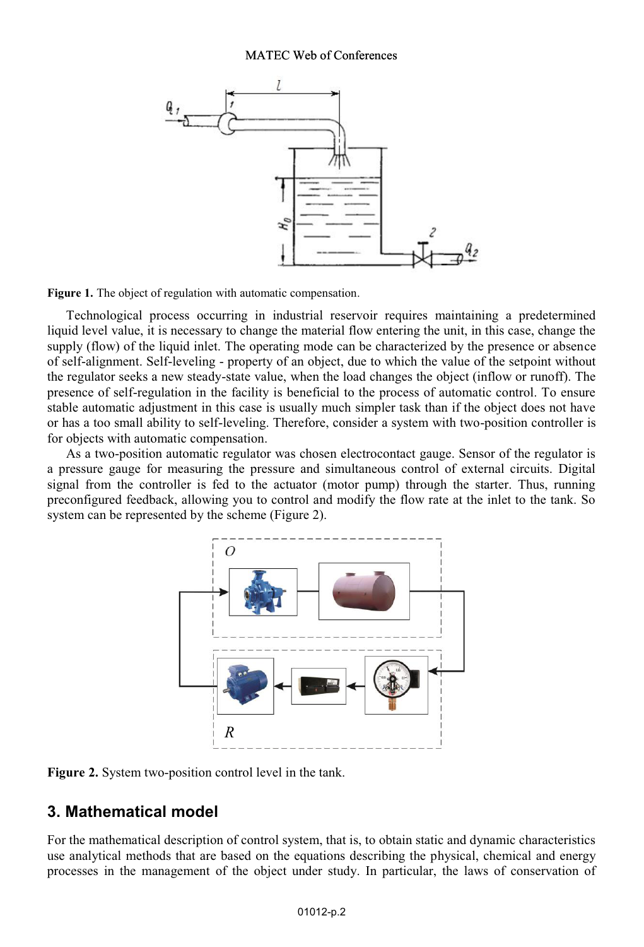#### MATEC Web of Conferences



**Figure 1.** The object of regulation with automatic compensation.

Technological process occurring in industrial reservoir requires maintaining a predetermined liquid level value, it is necessary to change the material flow entering the unit, in this case, change the supply (flow) of the liquid inlet. The operating mode can be characterized by the presence or absence of self-alignment. Self-leveling - property of an object, due to which the value of the setpoint without the regulator seeks a new steady-state value, when the load changes the object (inflow or runoff). The presence of self-regulation in the facility is beneficial to the process of automatic control. To ensure stable automatic adjustment in this case is usually much simpler task than if the object does not have or has a too small ability to self-leveling. Therefore, consider a system with two-position controller is for objects with automatic compensation.

As a two-position automatic regulator was chosen electrocontact gauge. Sensor of the regulator is a pressure gauge for measuring the pressure and simultaneous control of external circuits. Digital signal from the controller is fed to the actuator (motor pump) through the starter. Thus, running preconfigured feedback, allowing you to control and modify the flow rate at the inlet to the tank. So system can be represented by the scheme (Figure 2).



**Figure 2.** System two-position control level in the tank.

# **3. Mathematical model**

For the mathematical description of control system, that is, to obtain static and dynamic characteristics use analytical methods that are based on the equations describing the physical, chemical and energy processes in the management of the object under study. In particular, the laws of conservation of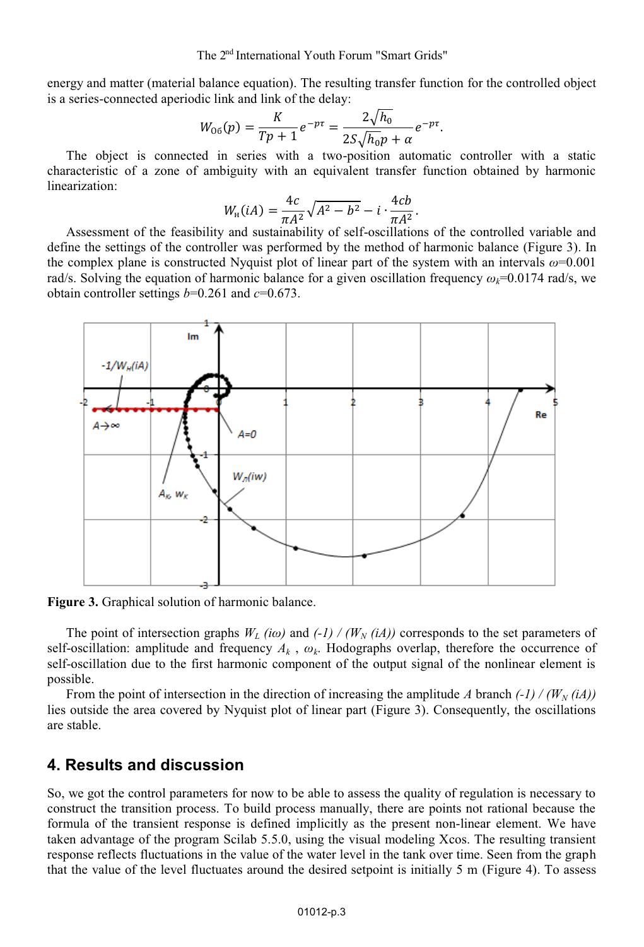The 2<sup>nd</sup> International Youth Forum "Smart Grids"

energy and matter (material balance equation). The resulting transfer function for the controlled object is a series-connected aperiodic link and link of the delay:

$$
W_{06}(p) = \frac{K}{Tp+1}e^{-p\tau} = \frac{2\sqrt{h_0}}{2S\sqrt{h_0}p + \alpha}e^{-p\tau}.
$$

The object is connected in series with a two-position automatic controller with a static characteristic of a zone of ambiguity with an equivalent transfer function obtained by harmonic linearization:

$$
W_{\rm H}(iA) = \frac{4c}{\pi A^2} \sqrt{A^2 - b^2} - i \cdot \frac{4cb}{\pi A^2}.
$$

Assessment of the feasibility and sustainability of self-oscillations of the controlled variable and define the settings of the controller was performed by the method of harmonic balance (Figure 3). In the complex plane is constructed Nyquist plot of linear part of the system with an intervals *ω*=0.001 rad/s. Solving the equation of harmonic balance for a given oscillation frequency  $\omega_k$ =0.0174 rad/s, we obtain controller settings *b*=0.261 and *c*=0.673.



**Figure 3.** Graphical solution of harmonic balance.

The point of intersection graphs  $W_L$  *(iω)* and  $(-1) / (W_N(iA))$  corresponds to the set parameters of self-oscillation: amplitude and frequency  $A_k$ ,  $\omega_k$ . Hodographs overlap, therefore the occurrence of self-oscillation due to the first harmonic component of the output signal of the nonlinear element is possible.

From the point of intersection in the direction of increasing the amplitude *A* branch  $\left(\frac{1}{\mu}\right)$  ( $\left(W_N(iA)\right)$ ) lies outside the area covered by Nyquist plot of linear part (Figure 3). Consequently, the oscillations are stable.

# **4. Results and discussion**

So, we got the control parameters for now to be able to assess the quality of regulation is necessary to construct the transition process. To build process manually, there are points not rational because the formula of the transient response is defined implicitly as the present non-linear element. We have taken advantage of the program Scilab 5.5.0, using the visual modeling Xcos. The resulting transient response reflects fluctuations in the value of the water level in the tank over time. Seen from the graph that the value of the level fluctuates around the desired setpoint is initially 5 m (Figure 4). To assess